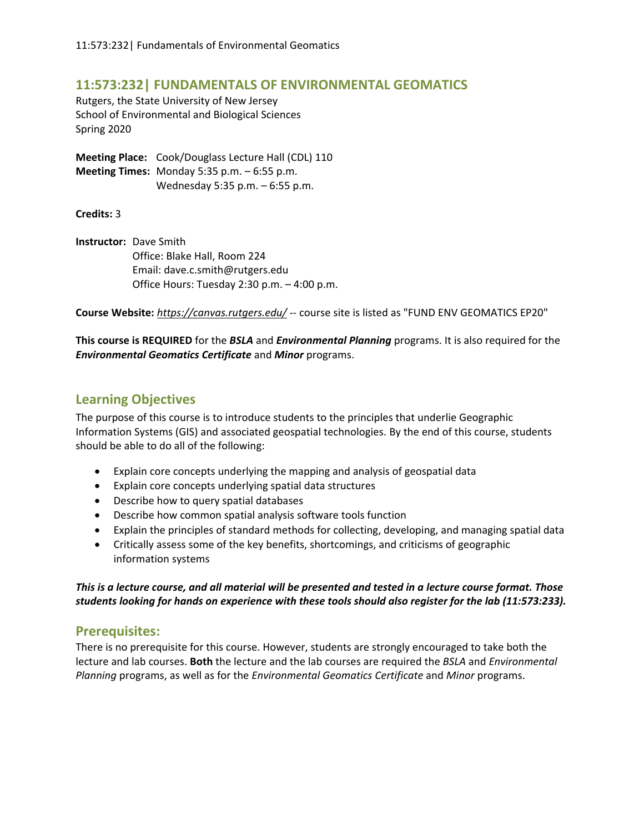# **11:573:232| FUNDAMENTALS OF ENVIRONMENTAL GEOMATICS**

Rutgers, the State University of New Jersey School of Environmental and Biological Sciences Spring 2020

**Meeting Place:** Cook/Douglass Lecture Hall (CDL) 110 **Meeting Times:** Monday 5:35 p.m. – 6:55 p.m. Wednesday 5:35 p.m. – 6:55 p.m.

**Credits:** 3

**Instructor:** Dave Smith Office: Blake Hall, Room 224 Email: dave.c.smith@rutgers.edu Office Hours: Tuesday 2:30 p.m. – 4:00 p.m.

**Course Website:** *https://canvas.rutgers.edu/* -- course site is listed as "FUND ENV GEOMATICS EP20"

**This course is REQUIRED** for the *BSLA* and *Environmental Planning* programs. It is also required for the *Environmental Geomatics Certificate* and *Minor* programs.

## **Learning Objectives**

The purpose of this course is to introduce students to the principles that underlie Geographic Information Systems (GIS) and associated geospatial technologies. By the end of this course, students should be able to do all of the following:

- Explain core concepts underlying the mapping and analysis of geospatial data
- Explain core concepts underlying spatial data structures
- Describe how to query spatial databases
- Describe how common spatial analysis software tools function
- Explain the principles of standard methods for collecting, developing, and managing spatial data
- Critically assess some of the key benefits, shortcomings, and criticisms of geographic information systems

*This is a lecture course, and all material will be presented and tested in a lecture course format. Those students looking for hands on experience with these tools should also register for the lab (11:573:233).*

# **Prerequisites:**

There is no prerequisite for this course. However, students are strongly encouraged to take both the lecture and lab courses. **Both** the lecture and the lab courses are required the *BSLA* and *Environmental Planning* programs, as well as for the *Environmental Geomatics Certificate* and *Minor* programs.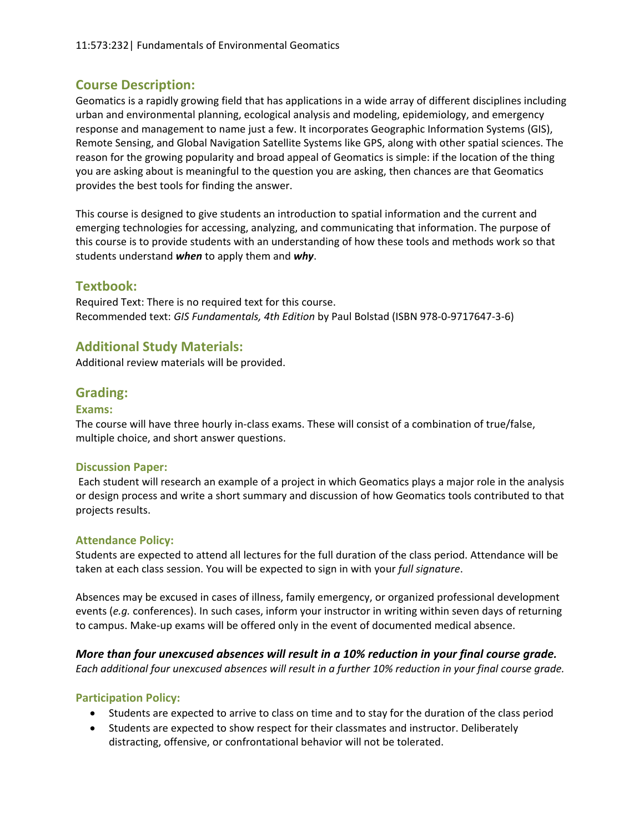# **Course Description:**

Geomatics is a rapidly growing field that has applications in a wide array of different disciplines including urban and environmental planning, ecological analysis and modeling, epidemiology, and emergency response and management to name just a few. It incorporates Geographic Information Systems (GIS), Remote Sensing, and Global Navigation Satellite Systems like GPS, along with other spatial sciences. The reason for the growing popularity and broad appeal of Geomatics is simple: if the location of the thing you are asking about is meaningful to the question you are asking, then chances are that Geomatics provides the best tools for finding the answer.

This course is designed to give students an introduction to spatial information and the current and emerging technologies for accessing, analyzing, and communicating that information. The purpose of this course is to provide students with an understanding of how these tools and methods work so that students understand *when* to apply them and *why*.

# **Textbook:**

Required Text: There is no required text for this course. Recommended text: *GIS Fundamentals, 4th Edition* by Paul Bolstad (ISBN 978-0-9717647-3-6)

# **Additional Study Materials:**

Additional review materials will be provided.

# **Grading:**

#### **Exams:**

The course will have three hourly in-class exams. These will consist of a combination of true/false, multiple choice, and short answer questions.

#### **Discussion Paper:**

Each student will research an example of a project in which Geomatics plays a major role in the analysis or design process and write a short summary and discussion of how Geomatics tools contributed to that projects results.

#### **Attendance Policy:**

Students are expected to attend all lectures for the full duration of the class period. Attendance will be taken at each class session. You will be expected to sign in with your *full signature*.

Absences may be excused in cases of illness, family emergency, or organized professional development events (*e.g.* conferences). In such cases, inform your instructor in writing within seven days of returning to campus. Make-up exams will be offered only in the event of documented medical absence.

### *More than four unexcused absences will result in a 10% reduction in your final course grade.*

*Each additional four unexcused absences will result in a further 10% reduction in your final course grade.*

### **Participation Policy:**

- Students are expected to arrive to class on time and to stay for the duration of the class period
- Students are expected to show respect for their classmates and instructor. Deliberately distracting, offensive, or confrontational behavior will not be tolerated.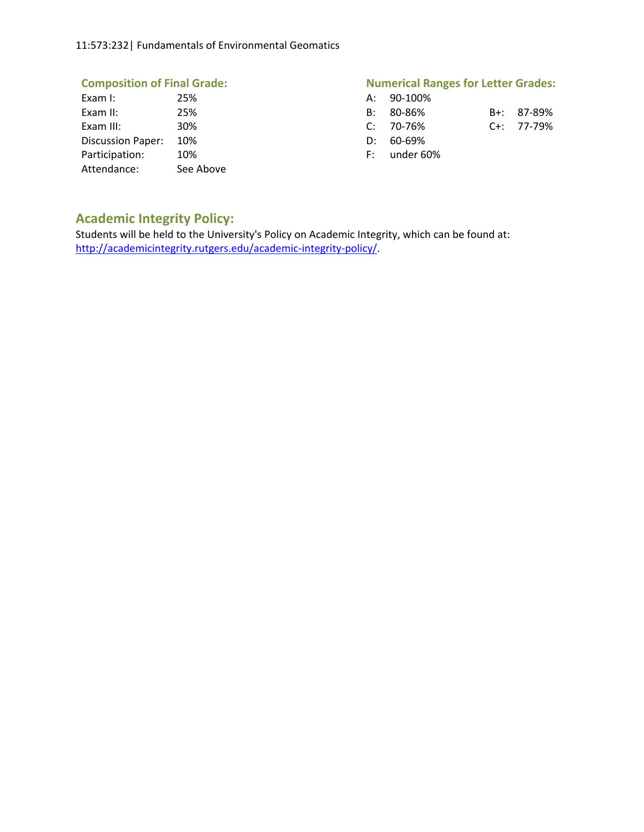#### 11:573:232| Fundamentals of Environmental Geomatics

| Exam I:                  | 25%       |      | A: 90-100%  |
|--------------------------|-----------|------|-------------|
| Exam II:                 | 25%       | B:   | 80-86%      |
| Exam III:                | 30%       |      | $C: 70-76%$ |
| <b>Discussion Paper:</b> | 10%       | D:   | 60-69%      |
| Participation:           | 10%       | F: I | under 60    |
| Attendance:              | See Above |      |             |

# **Composition of Final Grade: Numerical Ranges for Letter Grades:**

| Exam I:               | 25%             | A: 90-100%     |                  |
|-----------------------|-----------------|----------------|------------------|
| Exam II:              | 25%             | B: 80-86%      | B+: 87-89%       |
| Exam III:             | 30 <sup>%</sup> | C: 70-76%      | $C_{1}: 77-79\%$ |
| Discussion Paper: 10% |                 | $D: 60-69\%$   |                  |
| Participation:        | 10%             | $F:$ under 60% |                  |

# **Academic Integrity Policy:**

Students will be held to the University's Policy on Academic Integrity, which can be found at: [http://academicintegrity.rutgers.edu/academic-integrity-policy/.](http://academicintegrity.rutgers.edu/academic-integrity-policy/)